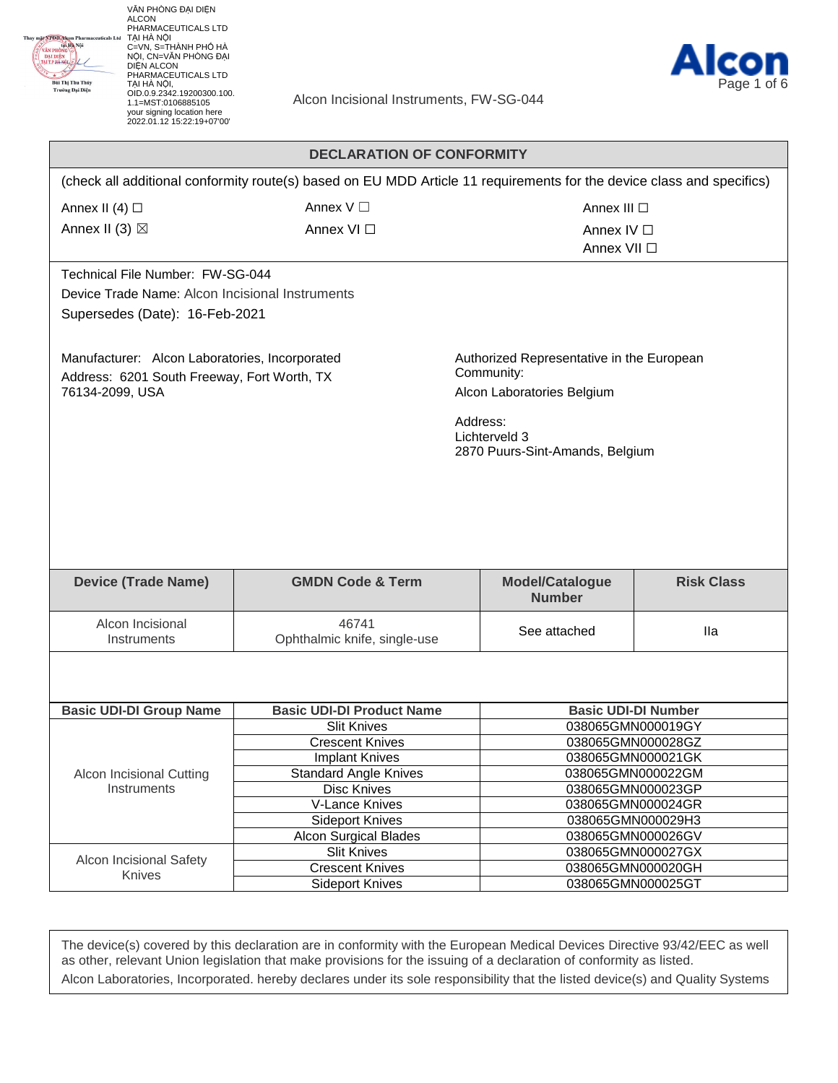

VĂN PHÒNG ĐẠI DIỆN ALCON<br>PHARMACEUTICALS LTD<br>TẠI HÀ NỘI<br>C=VN, S=THÀNH PHỐ HÀ<br>NỘI, CN=VĂN PHÒNG ĐẠI<br>DIỆN ALCON<br>DIỆN ALCON<br>PHARMACEUTICALS LTD<br>TẠI HÀ NỘI,<br>CID.0.9.2342.19200300.100.<br>01D.0.9.2342.19200300.100.<br>1.1=MST:0106885105 your signing location here 2022.01.12 15:22:19+07'00'



Alcon Incisional Instruments, FW-SG-044

|                                                 | <b>DECLARATION OF CONFORMITY</b>                                                                                      |                                                  |                                        |  |
|-------------------------------------------------|-----------------------------------------------------------------------------------------------------------------------|--------------------------------------------------|----------------------------------------|--|
|                                                 | (check all additional conformity route(s) based on EU MDD Article 11 requirements for the device class and specifics) |                                                  |                                        |  |
| Annex II (4) $\Box$                             | Annex $V \square$                                                                                                     |                                                  | Annex III □                            |  |
| Annex II (3) $\boxtimes$                        | Annex VI □                                                                                                            | Annex IV $\Box$                                  |                                        |  |
|                                                 |                                                                                                                       | Annex VII □                                      |                                        |  |
|                                                 |                                                                                                                       |                                                  |                                        |  |
| Technical File Number: FW-SG-044                |                                                                                                                       |                                                  |                                        |  |
| Device Trade Name: Alcon Incisional Instruments |                                                                                                                       |                                                  |                                        |  |
| Supersedes (Date): 16-Feb-2021                  |                                                                                                                       |                                                  |                                        |  |
|                                                 |                                                                                                                       |                                                  |                                        |  |
| Manufacturer: Alcon Laboratories, Incorporated  |                                                                                                                       | Authorized Representative in the European        |                                        |  |
| Address: 6201 South Freeway, Fort Worth, TX     |                                                                                                                       | Community:                                       |                                        |  |
| 76134-2099, USA                                 |                                                                                                                       | Alcon Laboratories Belgium                       |                                        |  |
|                                                 |                                                                                                                       |                                                  |                                        |  |
|                                                 |                                                                                                                       | Address:                                         |                                        |  |
|                                                 |                                                                                                                       | Lichterveld 3<br>2870 Puurs-Sint-Amands, Belgium |                                        |  |
|                                                 |                                                                                                                       |                                                  |                                        |  |
|                                                 |                                                                                                                       |                                                  |                                        |  |
|                                                 |                                                                                                                       |                                                  |                                        |  |
|                                                 |                                                                                                                       |                                                  |                                        |  |
|                                                 |                                                                                                                       |                                                  |                                        |  |
|                                                 |                                                                                                                       |                                                  |                                        |  |
| <b>Device (Trade Name)</b>                      | <b>GMDN Code &amp; Term</b>                                                                                           | <b>Model/Catalogue</b>                           | <b>Risk Class</b>                      |  |
|                                                 |                                                                                                                       | <b>Number</b>                                    |                                        |  |
| Alcon Incisional                                | 46741                                                                                                                 |                                                  |                                        |  |
| Instruments                                     | Ophthalmic knife, single-use                                                                                          | See attached                                     | <b>Ila</b>                             |  |
|                                                 |                                                                                                                       |                                                  |                                        |  |
|                                                 |                                                                                                                       |                                                  |                                        |  |
|                                                 |                                                                                                                       |                                                  |                                        |  |
| <b>Basic UDI-DI Group Name</b>                  | <b>Basic UDI-DI Product Name</b>                                                                                      | <b>Basic UDI-DI Number</b>                       |                                        |  |
|                                                 | <b>Slit Knives</b>                                                                                                    | 038065GMN000019GY                                |                                        |  |
|                                                 | <b>Crescent Knives</b>                                                                                                | 038065GMN000028GZ                                |                                        |  |
|                                                 | <b>Implant Knives</b>                                                                                                 | 038065GMN000021GK                                |                                        |  |
| Alcon Incisional Cutting                        | <b>Standard Angle Knives</b>                                                                                          |                                                  | 038065GMN000022GM<br>038065GMN000023GP |  |
| Instruments                                     | <b>Disc Knives</b><br>V-Lance Knives                                                                                  | 038065GMN000024GR                                |                                        |  |
|                                                 | <b>Sideport Knives</b>                                                                                                | 038065GMN000029H3                                |                                        |  |
|                                                 | <b>Alcon Surgical Blades</b>                                                                                          | 038065GMN000026GV                                |                                        |  |
|                                                 | <b>Slit Knives</b>                                                                                                    |                                                  | 038065GMN000027GX                      |  |
| Alcon Incisional Safety                         | <b>Crescent Knives</b>                                                                                                | 038065GMN000020GH                                |                                        |  |
| Knives                                          | <b>Sideport Knives</b>                                                                                                |                                                  | 038065GMN000025GT                      |  |

The device(s) covered by this declaration are in conformity with the European Medical Devices Directive 93/42/EEC as well as other, relevant Union legislation that make provisions for the issuing of a declaration of conformity as listed. Alcon Laboratories, Incorporated. hereby declares under its sole responsibility that the listed device(s) and Quality Systems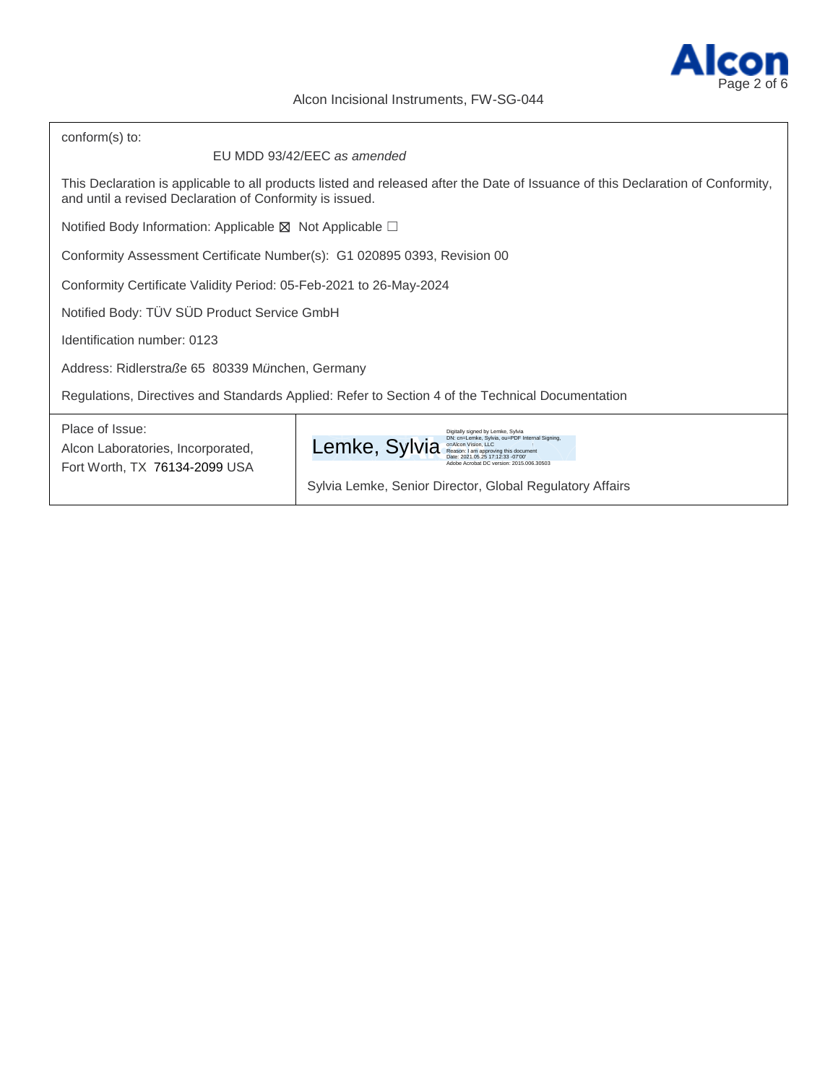

| conform(s) to:                                                                                   |                                                                                                                                                                                                                                                                     |  |  |  |
|--------------------------------------------------------------------------------------------------|---------------------------------------------------------------------------------------------------------------------------------------------------------------------------------------------------------------------------------------------------------------------|--|--|--|
| EU MDD 93/42/EEC as amended                                                                      |                                                                                                                                                                                                                                                                     |  |  |  |
| and until a revised Declaration of Conformity is issued.                                         | This Declaration is applicable to all products listed and released after the Date of Issuance of this Declaration of Conformity,                                                                                                                                    |  |  |  |
| Notified Body Information: Applicable $\boxtimes$ Not Applicable $\Box$                          |                                                                                                                                                                                                                                                                     |  |  |  |
| Conformity Assessment Certificate Number(s): G1 020895 0393, Revision 00                         |                                                                                                                                                                                                                                                                     |  |  |  |
| Conformity Certificate Validity Period: 05-Feb-2021 to 26-May-2024                               |                                                                                                                                                                                                                                                                     |  |  |  |
| Notified Body: TÜV SÜD Product Service GmbH                                                      |                                                                                                                                                                                                                                                                     |  |  |  |
| Identification number: 0123                                                                      |                                                                                                                                                                                                                                                                     |  |  |  |
| Address: Ridlerstraße 65 80339 München, Germany                                                  |                                                                                                                                                                                                                                                                     |  |  |  |
| Regulations, Directives and Standards Applied: Refer to Section 4 of the Technical Documentation |                                                                                                                                                                                                                                                                     |  |  |  |
| Place of Issue:<br>Alcon Laboratories, Incorporated,<br>Fort Worth, TX 76134-2099 USA            | Digitally signed by Lemke, Sylvia<br>DN: cn=Lemke, Sylvia, ou=PDF Internal Signing,<br>Lemke, Sylvia<br>o=Alcon Vision, LLC<br>I am approving this document<br>Adobe Acrobat DC version: 2015.006.30503<br>Sylvia Lemke, Senior Director, Global Regulatory Affairs |  |  |  |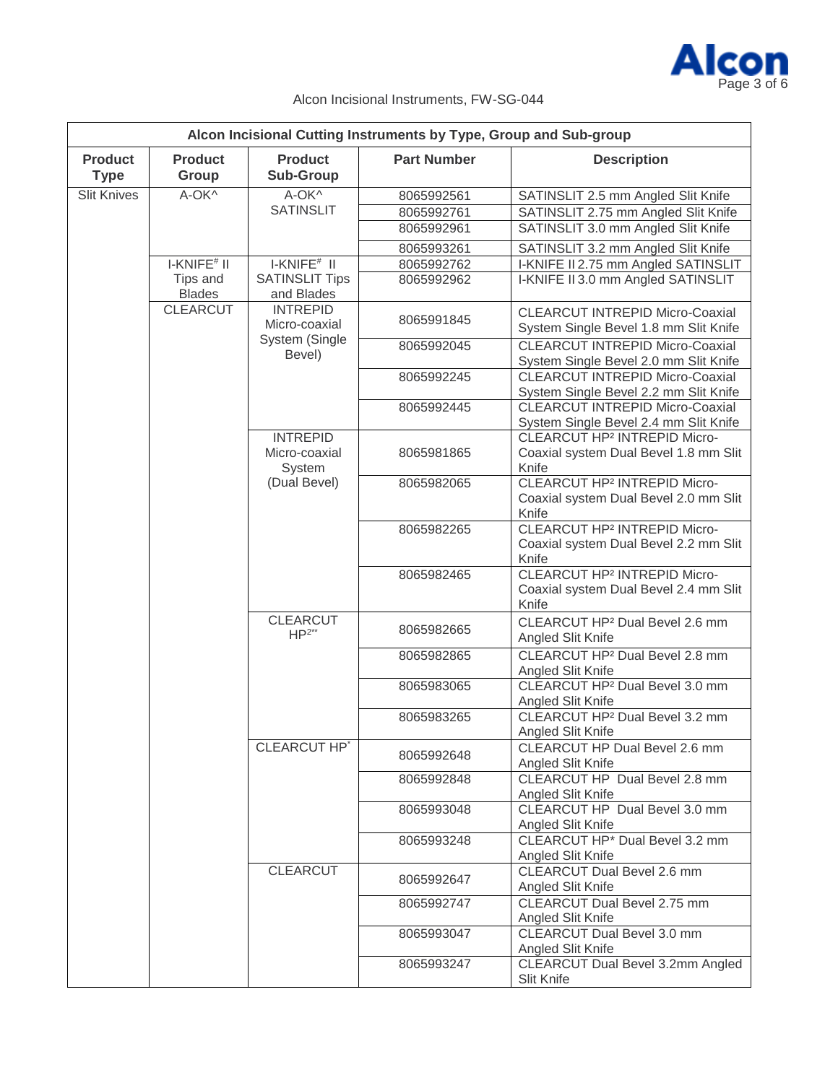

|                               |                           |                                            |                                                                                            | Alcon Incisional Cutting Instruments by Type, Group and Sub-group                                |
|-------------------------------|---------------------------|--------------------------------------------|--------------------------------------------------------------------------------------------|--------------------------------------------------------------------------------------------------|
| <b>Product</b><br><b>Type</b> | <b>Product</b><br>Group   | <b>Product</b><br><b>Sub-Group</b>         | <b>Part Number</b>                                                                         | <b>Description</b>                                                                               |
| <b>Slit Knives</b>            | A-OK^                     | A-OK^                                      | 8065992561                                                                                 | SATINSLIT 2.5 mm Angled Slit Knife                                                               |
|                               |                           | <b>SATINSLIT</b>                           | 8065992761                                                                                 | SATINSLIT 2.75 mm Angled Slit Knife                                                              |
|                               |                           |                                            | 8065992961                                                                                 | SATINSLIT 3.0 mm Angled Slit Knife                                                               |
|                               |                           |                                            | 8065993261                                                                                 | SATINSLIT 3.2 mm Angled Slit Knife                                                               |
|                               | $IKNFE#$ II               | $IKNFE$ <sup>#</sup> $II$                  | 8065992762                                                                                 | I-KNIFE II 2.75 mm Angled SATINSLIT                                                              |
|                               | Tips and<br><b>Blades</b> | <b>SATINSLIT Tips</b><br>and Blades        | 8065992962                                                                                 | I-KNIFE II 3.0 mm Angled SATINSLIT                                                               |
|                               | <b>CLEARCUT</b>           | <b>INTREPID</b><br>Micro-coaxial           | 8065991845                                                                                 | <b>CLEARCUT INTREPID Micro-Coaxial</b><br>System Single Bevel 1.8 mm Slit Knife                  |
|                               |                           | System (Single<br>Bevel)                   | 8065992045                                                                                 | <b>CLEARCUT INTREPID Micro-Coaxial</b><br>System Single Bevel 2.0 mm Slit Knife                  |
|                               |                           |                                            | 8065992245                                                                                 | <b>CLEARCUT INTREPID Micro-Coaxial</b><br>System Single Bevel 2.2 mm Slit Knife                  |
|                               |                           |                                            | 8065992445                                                                                 | <b>CLEARCUT INTREPID Micro-Coaxial</b><br>System Single Bevel 2.4 mm Slit Knife                  |
|                               |                           | <b>INTREPID</b><br>Micro-coaxial<br>System | 8065981865                                                                                 | <b>CLEARCUT HP<sup>2</sup> INTREPID Micro-</b><br>Coaxial system Dual Bevel 1.8 mm Slit<br>Knife |
|                               | (Dual Bevel)              | 8065982065                                 | CLEARCUT HP <sup>2</sup> INTREPID Micro-<br>Coaxial system Dual Bevel 2.0 mm Slit<br>Knife |                                                                                                  |
|                               |                           |                                            | 8065982265                                                                                 | CLEARCUT HP <sup>2</sup> INTREPID Micro-<br>Coaxial system Dual Bevel 2.2 mm Slit<br>Knife       |
|                               |                           |                                            | 8065982465                                                                                 | CLEARCUT HP <sup>2</sup> INTREPID Micro-<br>Coaxial system Dual Bevel 2.4 mm Slit<br>Knife       |
|                               |                           | <b>CLEARCUT</b><br>$HP^{2**}$              | 8065982665                                                                                 | CLEARCUT HP <sup>2</sup> Dual Bevel 2.6 mm<br>Angled Slit Knife                                  |
|                               |                           |                                            | 8065982865                                                                                 | CLEARCUT HP <sup>2</sup> Dual Bevel 2.8 mm<br>Angled Slit Knife                                  |
|                               |                           |                                            | 8065983065                                                                                 | CLEARCUT HP <sup>2</sup> Dual Bevel 3.0 mm<br>Angled Slit Knife                                  |
|                               |                           |                                            | 8065983265                                                                                 | CLEARCUT HP <sup>2</sup> Dual Bevel 3.2 mm<br>Angled Slit Knife                                  |
|                               |                           | CLEARCUT HP*                               | 8065992648                                                                                 | CLEARCUT HP Dual Bevel 2.6 mm<br>Angled Slit Knife                                               |
|                               |                           | 8065992848                                 | CLEARCUT HP Dual Bevel 2.8 mm<br>Angled Slit Knife                                         |                                                                                                  |
|                               |                           | 8065993048                                 | CLEARCUT HP Dual Bevel 3.0 mm<br>Angled Slit Knife                                         |                                                                                                  |
|                               |                           | 8065993248                                 | CLEARCUT HP* Dual Bevel 3.2 mm<br>Angled Slit Knife                                        |                                                                                                  |
|                               |                           | <b>CLEARCUT</b>                            | 8065992647                                                                                 | CLEARCUT Dual Bevel 2.6 mm<br>Angled Slit Knife                                                  |
|                               |                           |                                            | 8065992747                                                                                 | CLEARCUT Dual Bevel 2.75 mm<br>Angled Slit Knife                                                 |
|                               |                           |                                            | 8065993047                                                                                 | CLEARCUT Dual Bevel 3.0 mm<br>Angled Slit Knife                                                  |
|                               |                           |                                            | 8065993247                                                                                 | CLEARCUT Dual Bevel 3.2mm Angled<br>Slit Knife                                                   |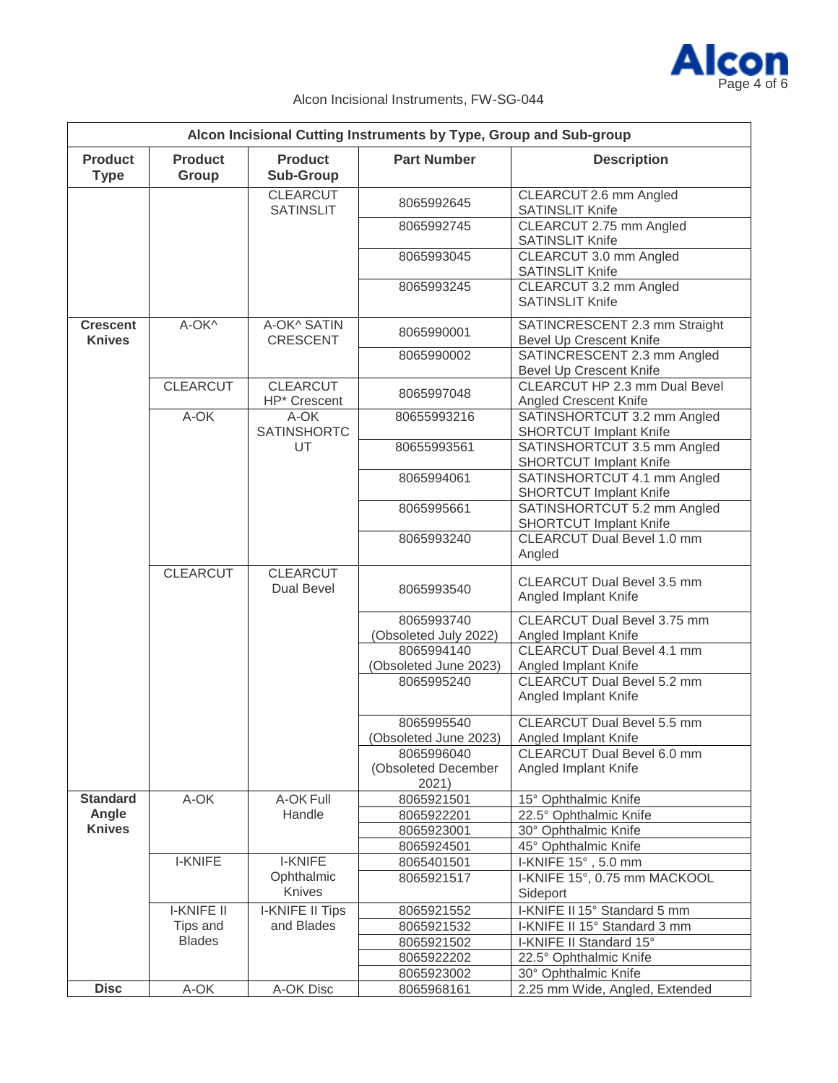

| Alcon Incisional Cutting Instruments by Type, Group and Sub-group |                         |                                     |                                            |                                                           |  |
|-------------------------------------------------------------------|-------------------------|-------------------------------------|--------------------------------------------|-----------------------------------------------------------|--|
| <b>Product</b><br><b>Type</b>                                     | <b>Product</b><br>Group | <b>Product</b><br><b>Sub-Group</b>  | <b>Part Number</b>                         | <b>Description</b>                                        |  |
|                                                                   |                         | <b>CLEARCUT</b><br><b>SATINSLIT</b> | 8065992645                                 | CLEARCUT 2.6 mm Angled<br><b>SATINSLIT Knife</b>          |  |
|                                                                   |                         |                                     | 8065992745                                 | CLEARCUT 2.75 mm Angled<br><b>SATINSLIT Knife</b>         |  |
|                                                                   |                         |                                     | 8065993045                                 | CLEARCUT 3.0 mm Angled<br>SATINSLIT Knife                 |  |
|                                                                   |                         |                                     | 8065993245                                 | CLEARCUT 3.2 mm Angled<br><b>SATINSLIT Knife</b>          |  |
| <b>Crescent</b><br><b>Knives</b>                                  | A-OK^                   | A-OK^ SATIN<br><b>CRESCENT</b>      | 8065990001                                 | SATINCRESCENT 2.3 mm Straight<br>Bevel Up Crescent Knife  |  |
|                                                                   |                         |                                     | 8065990002                                 | SATINCRESCENT 2.3 mm Angled<br>Bevel Up Crescent Knife    |  |
|                                                                   | <b>CLEARCUT</b>         | <b>CLEARCUT</b><br>HP* Crescent     | 8065997048                                 | CLEARCUT HP 2.3 mm Dual Bevel<br>Angled Crescent Knife    |  |
|                                                                   | A-OK                    | A-OK<br><b>SATINSHORTC</b>          | 80655993216                                | SATINSHORTCUT 3.2 mm Angled<br>SHORTCUT Implant Knife     |  |
|                                                                   |                         | UT                                  | 80655993561                                | SATINSHORTCUT 3.5 mm Angled<br>SHORTCUT Implant Knife     |  |
|                                                                   |                         |                                     | 8065994061                                 | SATINSHORTCUT 4.1 mm Angled<br>SHORTCUT Implant Knife     |  |
|                                                                   |                         |                                     | 8065995661                                 | SATINSHORTCUT 5.2 mm Angled<br>SHORTCUT Implant Knife     |  |
|                                                                   |                         |                                     | 8065993240                                 | <b>CLEARCUT Dual Bevel 1.0 mm</b><br>Angled               |  |
|                                                                   | <b>CLEARCUT</b>         | <b>CLEARCUT</b><br>Dual Bevel       | 8065993540                                 | CLEARCUT Dual Bevel 3.5 mm<br>Angled Implant Knife        |  |
|                                                                   |                         |                                     | 8065993740                                 | CLEARCUT Dual Bevel 3.75 mm                               |  |
|                                                                   |                         |                                     | (Obsoleted July 2022)<br>8065994140        | Angled Implant Knife<br><b>CLEARCUT Dual Bevel 4.1 mm</b> |  |
|                                                                   |                         |                                     | (Obsoleted June 2023)                      | Angled Implant Knife                                      |  |
|                                                                   |                         |                                     | 8065995240                                 | <b>CLEARCUT Dual Bevel 5.2 mm</b><br>Angled Implant Knife |  |
|                                                                   |                         |                                     | 8065995540                                 | CLEARCUT Dual Bevel 5.5 mm                                |  |
|                                                                   |                         |                                     | Obsoleted June 2023)                       | Angled Implant Knife                                      |  |
|                                                                   |                         |                                     | 8065996040<br>(Obsoleted December<br>2021) | CLEARCUT Dual Bevel 6.0 mm<br>Angled Implant Knife        |  |
| <b>Standard</b>                                                   | A-OK                    | A-OK Full                           | 8065921501                                 | 15° Ophthalmic Knife                                      |  |
| Angle                                                             |                         | Handle                              | 8065922201                                 | 22.5° Ophthalmic Knife                                    |  |
| <b>Knives</b>                                                     |                         |                                     | 8065923001                                 | 30° Ophthalmic Knife                                      |  |
|                                                                   |                         |                                     | 8065924501                                 | 45° Ophthalmic Knife                                      |  |
|                                                                   | <b>I-KNIFE</b>          | <b>I-KNIFE</b>                      | 8065401501                                 | I-KNIFE 15°, 5.0 mm                                       |  |
|                                                                   |                         | Ophthalmic<br>Knives                | 8065921517                                 | I-KNIFE 15°, 0.75 mm MACKOOL<br>Sideport                  |  |
|                                                                   | <b>I-KNIFE II</b>       | I-KNIFE II Tips                     | 8065921552                                 | I-KNIFE II 15° Standard 5 mm                              |  |
|                                                                   | Tips and                | and Blades                          | 8065921532                                 | I-KNIFE II 15° Standard 3 mm                              |  |
|                                                                   | <b>Blades</b>           |                                     | 8065921502                                 | I-KNIFE II Standard 15°                                   |  |
|                                                                   |                         |                                     | 8065922202                                 | 22.5° Ophthalmic Knife                                    |  |
|                                                                   |                         |                                     | 8065923002                                 | 30° Ophthalmic Knife                                      |  |
| <b>Disc</b>                                                       | A-OK                    | A-OK Disc                           | 8065968161                                 | 2.25 mm Wide, Angled, Extended                            |  |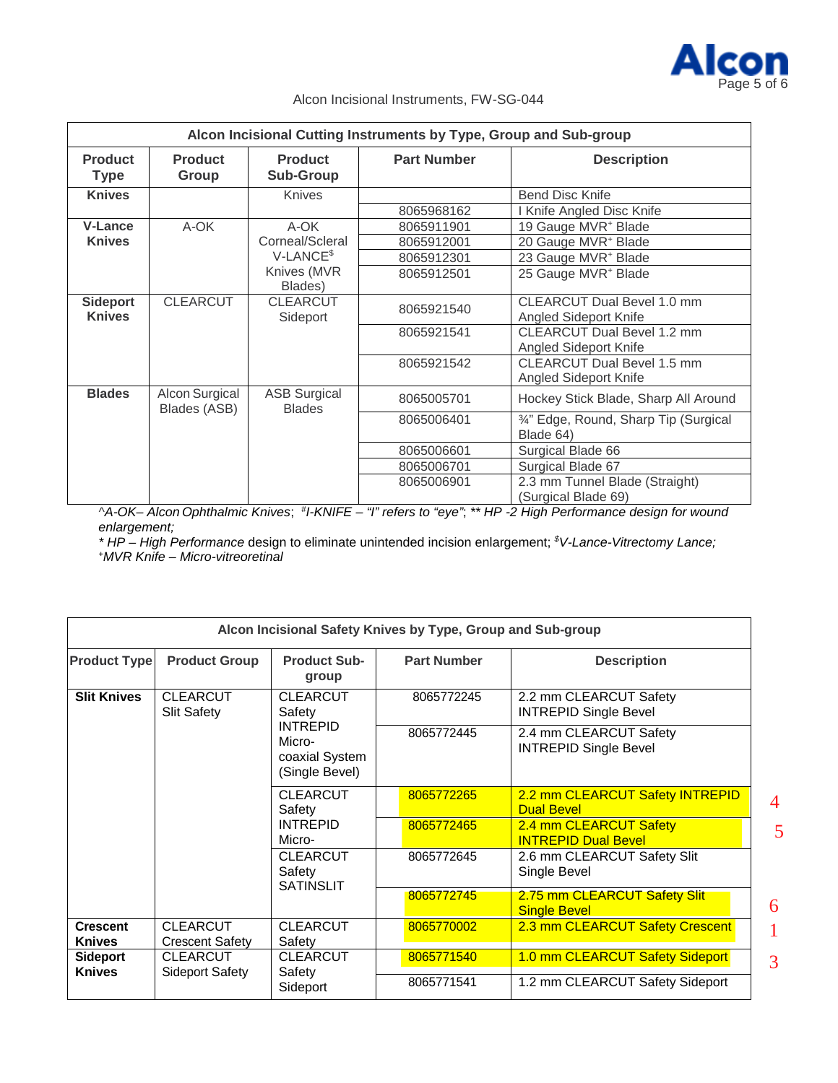

5

## Alcon Incisional Instruments, FW-SG-044

|                                  | Alcon Incisional Cutting Instruments by Type, Group and Sub-group |                                      |                    |                                                            |  |  |
|----------------------------------|-------------------------------------------------------------------|--------------------------------------|--------------------|------------------------------------------------------------|--|--|
| <b>Product</b><br><b>Type</b>    | <b>Product</b><br>Group                                           | <b>Product</b><br><b>Sub-Group</b>   | <b>Part Number</b> | <b>Description</b>                                         |  |  |
| <b>Knives</b>                    |                                                                   | <b>Knives</b>                        |                    | <b>Bend Disc Knife</b>                                     |  |  |
|                                  |                                                                   |                                      | 8065968162         | Knife Angled Disc Knife                                    |  |  |
| <b>V-Lance</b>                   | A-OK                                                              | A-OK                                 | 8065911901         | 19 Gauge MVR <sup>+</sup> Blade                            |  |  |
| <b>Knives</b>                    |                                                                   | Corneal/Scleral                      | 8065912001         | 20 Gauge MVR <sup>+</sup> Blade                            |  |  |
|                                  |                                                                   | $V-LANCE§$                           | 8065912301         | 23 Gauge MVR <sup>+</sup> Blade                            |  |  |
|                                  |                                                                   | Knives (MVR<br>Blades)               | 8065912501         | 25 Gauge MVR <sup>+</sup> Blade                            |  |  |
| <b>Sideport</b><br><b>Knives</b> | <b>CLEARCUT</b>                                                   | <b>CLEARCUT</b><br>Sideport          | 8065921540         | CLEARCUT Dual Bevel 1.0 mm<br>Angled Sideport Knife        |  |  |
|                                  |                                                                   |                                      | 8065921541         | CLEARCUT Dual Bevel 1.2 mm<br>Angled Sideport Knife        |  |  |
|                                  |                                                                   |                                      | 8065921542         | <b>CLEARCUT Dual Bevel 1.5 mm</b><br>Angled Sideport Knife |  |  |
| <b>Blades</b>                    | Alcon Surgical<br>Blades (ASB)                                    | <b>ASB Surgical</b><br><b>Blades</b> | 8065005701         | Hockey Stick Blade, Sharp All Around                       |  |  |
|                                  |                                                                   |                                      | 8065006401         | 3/4" Edge, Round, Sharp Tip (Surgical<br>Blade 64)         |  |  |
|                                  |                                                                   |                                      | 8065006601         | Surgical Blade 66                                          |  |  |
|                                  |                                                                   |                                      | 8065006701         | Surgical Blade 67                                          |  |  |
|                                  |                                                                   |                                      | 8065006901         | 2.3 mm Tunnel Blade (Straight)<br>(Surgical Blade 69)      |  |  |

*^A-OK– Alcon Ophthalmic Knives*; # *I-KNIFE – "I" refers to "eye"*; *\*\* HP -2 High Performance design for wound enlargement;*

*\* HP – High Performance* design to eliminate unintended incision enlargement; *\$ V-Lance-Vitrectomy Lance; +MVR Knife – Micro-vitreoretinal*

|                                  |                                           |                                                               | Alcon Incisional Safety Knives by Type, Group and Sub-group |                                                        |   |
|----------------------------------|-------------------------------------------|---------------------------------------------------------------|-------------------------------------------------------------|--------------------------------------------------------|---|
| <b>Product Type</b>              | <b>Product Group</b>                      | <b>Product Sub-</b><br>group                                  | <b>Part Number</b>                                          | <b>Description</b>                                     |   |
| <b>Slit Knives</b>               | <b>CLEARCUT</b><br><b>Slit Safety</b>     | <b>CLEARCUT</b><br>Safety                                     | 8065772245                                                  | 2.2 mm CLEARCUT Safety<br><b>INTREPID Single Bevel</b> |   |
|                                  |                                           | <b>INTREPID</b><br>Micro-<br>coaxial System<br>(Single Bevel) | 8065772445                                                  | 2.4 mm CLEARCUT Safety<br><b>INTREPID Single Bevel</b> |   |
|                                  |                                           | <b>CLEARCUT</b><br>Safety                                     | 8065772265                                                  | 2.2 mm CLEARCUT Safety INTREPID<br><b>Dual Bevel</b>   | 4 |
|                                  |                                           | <b>INTREPID</b><br>Micro-                                     | 8065772465                                                  | 2.4 mm CLEARCUT Safety<br><b>INTREPID Dual Bevel</b>   | 5 |
|                                  |                                           | <b>CLEARCUT</b><br>Safety<br><b>SATINSLIT</b>                 |                                                             | 2.6 mm CLEARCUT Safety Slit<br>Single Bevel            |   |
|                                  |                                           |                                                               | 8065772745                                                  | 2.75 mm CLEARCUT Safety Slit<br><b>Single Bevel</b>    | 6 |
| <b>Crescent</b><br><b>Knives</b> | <b>CLEARCUT</b><br><b>Crescent Safety</b> | <b>CLEARCUT</b><br>Safety                                     | 8065770002                                                  | 2.3 mm CLEARCUT Safety Crescent                        |   |
| <b>Sideport</b><br><b>Knives</b> | <b>CLEARCUT</b><br>Sideport Safety        | <b>CLEARCUT</b><br>Safety                                     | 8065771540                                                  | 1.0 mm CLEARCUT Safety Sideport                        | 3 |
|                                  |                                           | Sideport                                                      | 8065771541                                                  | 1.2 mm CLEARCUT Safety Sideport                        |   |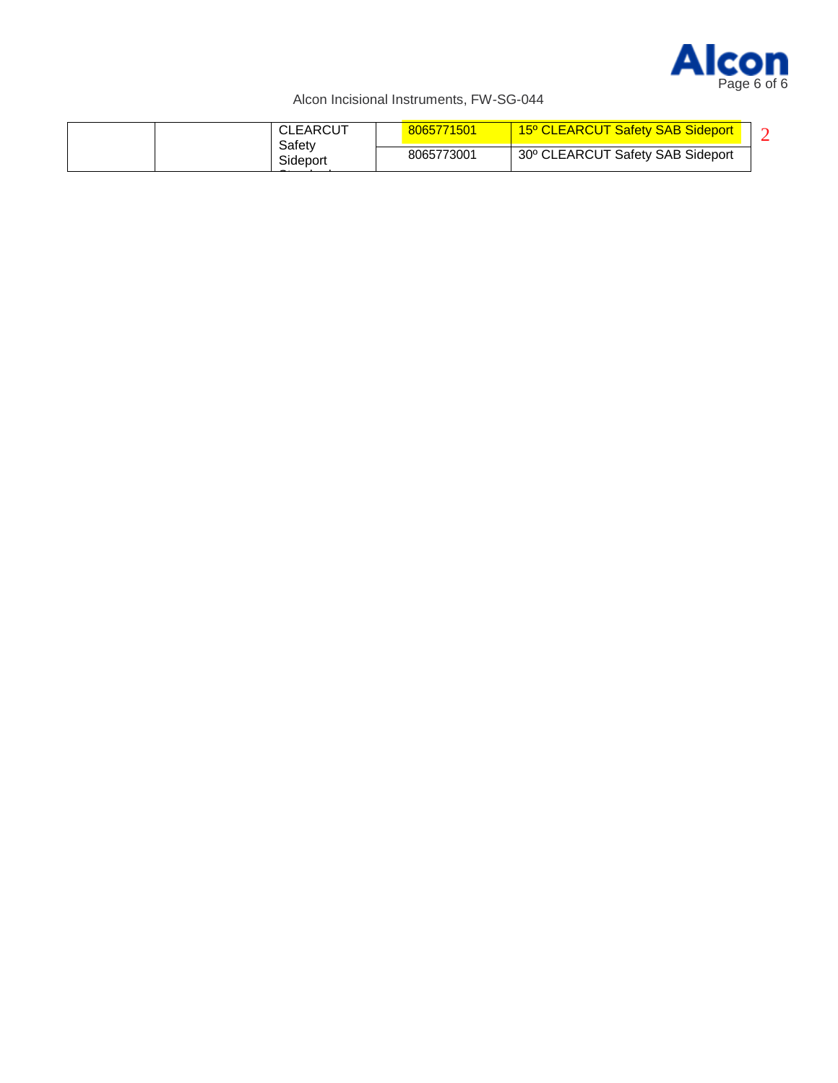

| 30° CLEARCUT Safety SAB Sideport<br>8065773001<br>Sideport | CLEARCUT<br>Safetv | 8065771501 | 15° CLEARCUT Safety SAB Sideport |  |
|------------------------------------------------------------|--------------------|------------|----------------------------------|--|
|                                                            |                    |            |                                  |  |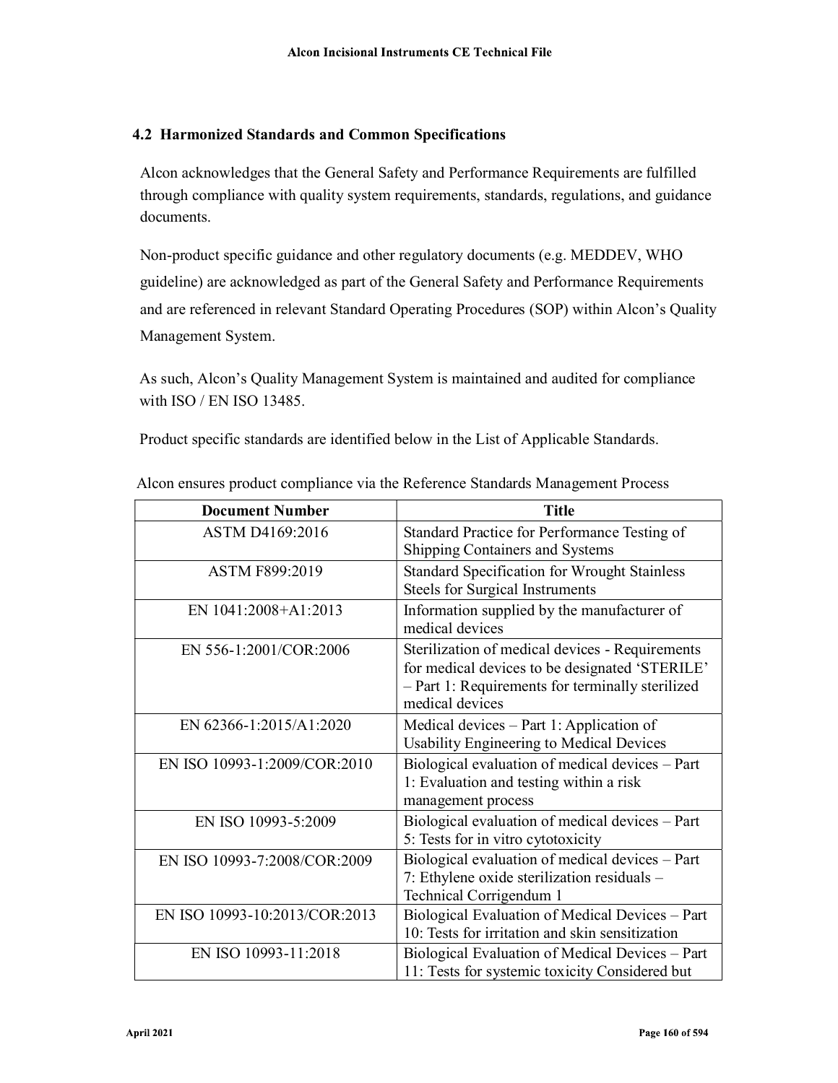## 4.2 Harmonized Standards and Common Specifications

Alcon acknowledges that the General Safety and Performance Requirements are fulfilled through compliance with quality system requirements, standards, regulations, and guidance documents.

Non-product specific guidance and other regulatory documents (e.g. MEDDEV, WHO guideline) are acknowledged as part of the General Safety and Performance Requirements and are referenced in relevant Standard Operating Procedures (SOP) within Alcon's Quality Management System.

As such, Alcon's Quality Management System is maintained and audited for compliance with ISO / EN ISO 13485.

Product specific standards are identified below in the List of Applicable Standards.

| <b>Document Number</b>        | <b>Title</b>                                                                                       |
|-------------------------------|----------------------------------------------------------------------------------------------------|
| ASTM D4169:2016               | Standard Practice for Performance Testing of                                                       |
|                               | Shipping Containers and Systems                                                                    |
| ASTM F899:2019                | <b>Standard Specification for Wrought Stainless</b>                                                |
|                               | <b>Steels for Surgical Instruments</b>                                                             |
| EN 1041:2008+A1:2013          | Information supplied by the manufacturer of<br>medical devices                                     |
| EN 556-1:2001/COR:2006        | Sterilization of medical devices - Requirements                                                    |
|                               | for medical devices to be designated 'STERILE'<br>- Part 1: Requirements for terminally sterilized |
|                               | medical devices                                                                                    |
| EN 62366-1:2015/A1:2020       | Medical devices $-$ Part 1: Application of                                                         |
|                               | Usability Engineering to Medical Devices                                                           |
| EN ISO 10993-1:2009/COR:2010  | Biological evaluation of medical devices – Part                                                    |
|                               | 1: Evaluation and testing within a risk                                                            |
|                               | management process                                                                                 |
| EN ISO 10993-5:2009           | Biological evaluation of medical devices - Part                                                    |
|                               | 5: Tests for in vitro cytotoxicity                                                                 |
| EN ISO 10993-7:2008/COR:2009  | Biological evaluation of medical devices - Part                                                    |
|                               | 7: Ethylene oxide sterilization residuals -                                                        |
|                               | Technical Corrigendum 1                                                                            |
| EN ISO 10993-10:2013/COR:2013 | Biological Evaluation of Medical Devices - Part                                                    |
|                               | 10: Tests for irritation and skin sensitization                                                    |
| EN ISO 10993-11:2018          | Biological Evaluation of Medical Devices - Part                                                    |
|                               | 11: Tests for systemic toxicity Considered but                                                     |

Alcon ensures product compliance via the Reference Standards Management Process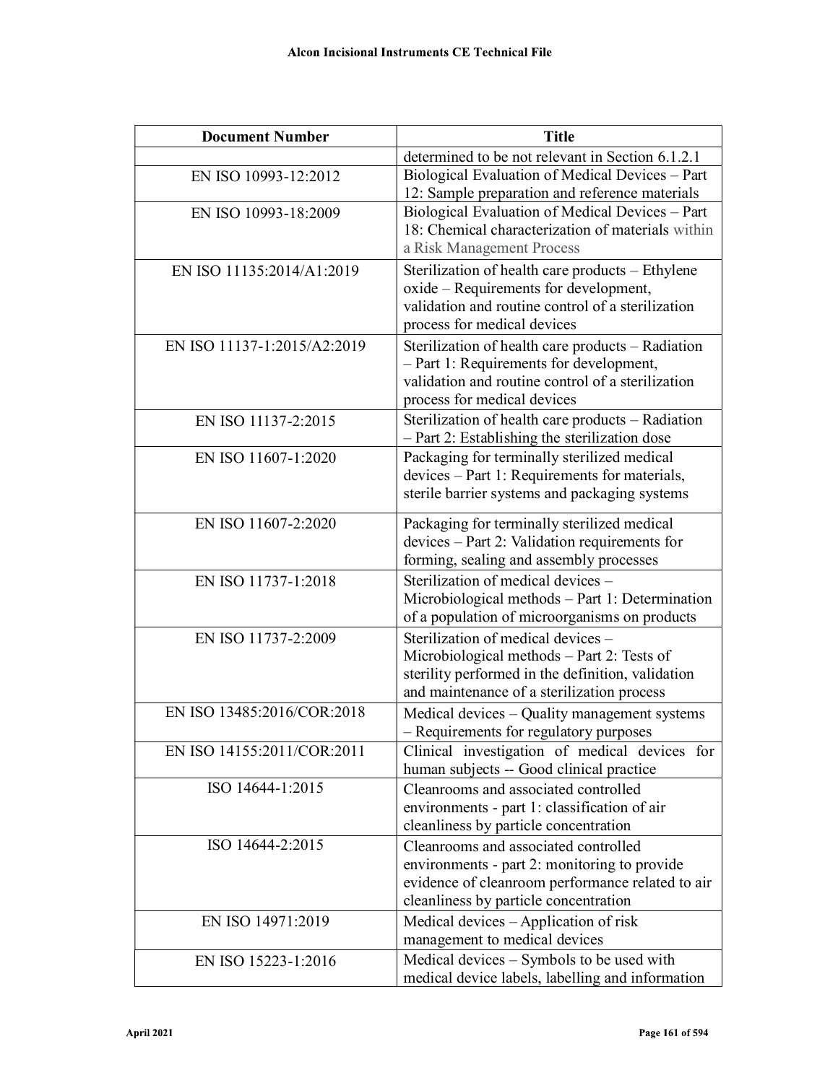| <b>Document Number</b>      | <b>Title</b>                                                                                  |
|-----------------------------|-----------------------------------------------------------------------------------------------|
|                             | determined to be not relevant in Section 6.1.2.1                                              |
| EN ISO 10993-12:2012        | Biological Evaluation of Medical Devices - Part                                               |
|                             | 12: Sample preparation and reference materials                                                |
| EN ISO 10993-18:2009        | Biological Evaluation of Medical Devices - Part                                               |
|                             | 18: Chemical characterization of materials within                                             |
|                             | a Risk Management Process                                                                     |
| EN ISO 11135:2014/A1:2019   | Sterilization of health care products – Ethylene                                              |
|                             | oxide – Requirements for development,                                                         |
|                             | validation and routine control of a sterilization                                             |
|                             | process for medical devices                                                                   |
| EN ISO 11137-1:2015/A2:2019 | Sterilization of health care products – Radiation                                             |
|                             | - Part 1: Requirements for development,<br>validation and routine control of a sterilization  |
|                             | process for medical devices                                                                   |
| EN ISO 11137-2:2015         | Sterilization of health care products - Radiation                                             |
|                             | - Part 2: Establishing the sterilization dose                                                 |
| EN ISO 11607-1:2020         | Packaging for terminally sterilized medical                                                   |
|                             | devices - Part 1: Requirements for materials,                                                 |
|                             | sterile barrier systems and packaging systems                                                 |
|                             |                                                                                               |
| EN ISO 11607-2:2020         | Packaging for terminally sterilized medical<br>devices – Part 2: Validation requirements for  |
|                             | forming, sealing and assembly processes                                                       |
| EN ISO 11737-1:2018         | Sterilization of medical devices -                                                            |
|                             | Microbiological methods - Part 1: Determination                                               |
|                             | of a population of microorganisms on products                                                 |
| EN ISO 11737-2:2009         | Sterilization of medical devices -                                                            |
|                             | Microbiological methods - Part 2: Tests of                                                    |
|                             | sterility performed in the definition, validation                                             |
|                             | and maintenance of a sterilization process                                                    |
| EN ISO 13485:2016/COR:2018  | Medical devices - Quality management systems                                                  |
|                             | - Requirements for regulatory purposes                                                        |
| EN ISO 14155:2011/COR:2011  | Clinical investigation of medical devices for                                                 |
|                             | human subjects -- Good clinical practice                                                      |
| ISO 14644-1:2015            | Cleanrooms and associated controlled                                                          |
|                             | environments - part 1: classification of air                                                  |
|                             | cleanliness by particle concentration                                                         |
| ISO 14644-2:2015            | Cleanrooms and associated controlled                                                          |
|                             | environments - part 2: monitoring to provide                                                  |
|                             | evidence of cleanroom performance related to air                                              |
|                             | cleanliness by particle concentration                                                         |
| EN ISO 14971:2019           | Medical devices – Application of risk                                                         |
|                             | management to medical devices                                                                 |
| EN ISO 15223-1:2016         | Medical devices - Symbols to be used with<br>medical device labels, labelling and information |